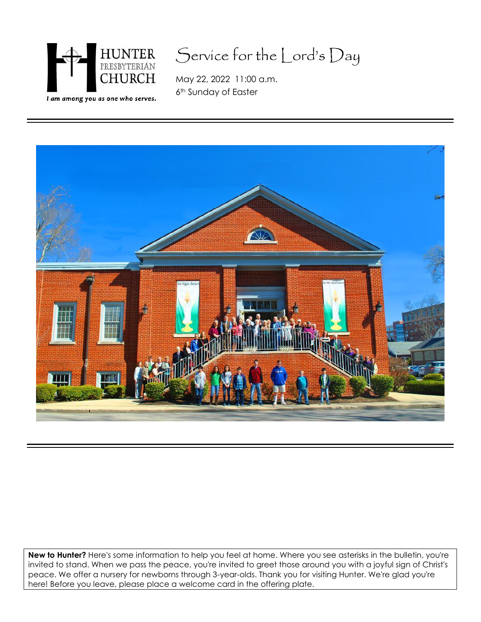

# Service for the Lord's Day

May 22, 2022 11:00 a.m. 6<sup>th</sup> Sunday of Easter



**New to Hunter?** Here's some information to help you feel at home. Where you see asterisks in the bulletin, you're invited to stand. When we pass the peace, you're invited to greet those around you with a joyful sign of Christ's peace. We offer a nursery for newborns through 3-year-olds. Thank you for visiting Hunter. We're glad you're here! Before you leave, please place a welcome card in the offering plate.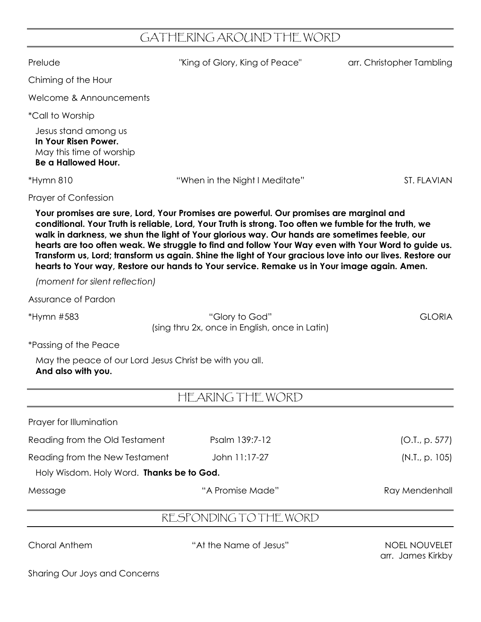## GATHERING AROUND THE WORD

| Prelude                                                                                                | "King of Glory, King of Peace"                                                                                                                                                                                                                                                                                                                                                                                                                                                                                                                                                                                        | arr. Christopher Tambling                 |
|--------------------------------------------------------------------------------------------------------|-----------------------------------------------------------------------------------------------------------------------------------------------------------------------------------------------------------------------------------------------------------------------------------------------------------------------------------------------------------------------------------------------------------------------------------------------------------------------------------------------------------------------------------------------------------------------------------------------------------------------|-------------------------------------------|
| Chiming of the Hour                                                                                    |                                                                                                                                                                                                                                                                                                                                                                                                                                                                                                                                                                                                                       |                                           |
| Welcome & Announcements                                                                                |                                                                                                                                                                                                                                                                                                                                                                                                                                                                                                                                                                                                                       |                                           |
| <i>*Call to Worship</i>                                                                                |                                                                                                                                                                                                                                                                                                                                                                                                                                                                                                                                                                                                                       |                                           |
| Jesus stand among us<br>In Your Risen Power.<br>May this time of worship<br><b>Be a Hallowed Hour.</b> |                                                                                                                                                                                                                                                                                                                                                                                                                                                                                                                                                                                                                       |                                           |
| *Hymn 810                                                                                              | "When in the Night I Meditate"                                                                                                                                                                                                                                                                                                                                                                                                                                                                                                                                                                                        | <b>ST. FLAVIAN</b>                        |
| <b>Prayer of Confession</b>                                                                            |                                                                                                                                                                                                                                                                                                                                                                                                                                                                                                                                                                                                                       |                                           |
|                                                                                                        | Your promises are sure, Lord, Your Promises are powerful. Our promises are marginal and<br>conditional. Your Truth is reliable, Lord, Your Truth is strong. Too often we fumble for the truth, we<br>walk in darkness, we shun the light of Your glorious way. Our hands are sometimes feeble, our<br>hearts are too often weak. We struggle to find and follow Your Way even with Your Word to guide us.<br>Transform us, Lord; transform us again. Shine the light of Your gracious love into our lives. Restore our<br>hearts to Your way, Restore our hands to Your service. Remake us in Your image again. Amen. |                                           |
| (moment for silent reflection)                                                                         |                                                                                                                                                                                                                                                                                                                                                                                                                                                                                                                                                                                                                       |                                           |
| Assurance of Pardon                                                                                    |                                                                                                                                                                                                                                                                                                                                                                                                                                                                                                                                                                                                                       |                                           |
| *Hymn #583                                                                                             | "Glory to God"<br>(sing thru 2x, once in English, once in Latin)                                                                                                                                                                                                                                                                                                                                                                                                                                                                                                                                                      | <b>GLORIA</b>                             |
| <i>*Passing of the Peace</i>                                                                           |                                                                                                                                                                                                                                                                                                                                                                                                                                                                                                                                                                                                                       |                                           |
| May the peace of our Lord Jesus Christ be with you all.<br>And also with you.                          |                                                                                                                                                                                                                                                                                                                                                                                                                                                                                                                                                                                                                       |                                           |
|                                                                                                        | HEARING THE WORD                                                                                                                                                                                                                                                                                                                                                                                                                                                                                                                                                                                                      |                                           |
| Prayer for Illumination                                                                                |                                                                                                                                                                                                                                                                                                                                                                                                                                                                                                                                                                                                                       |                                           |
| Reading from the Old Testament                                                                         | Psalm 139:7-12                                                                                                                                                                                                                                                                                                                                                                                                                                                                                                                                                                                                        | (O.I., p. 577)                            |
| Reading from the New Testament<br>Holy Wisdom. Holy Word. Thanks be to God.                            | John 11:17-27                                                                                                                                                                                                                                                                                                                                                                                                                                                                                                                                                                                                         | (N.T., p. 105)                            |
| Message                                                                                                | "A Promise Made"                                                                                                                                                                                                                                                                                                                                                                                                                                                                                                                                                                                                      | Ray Mendenhall                            |
|                                                                                                        | RESPONDING TO THE WORD                                                                                                                                                                                                                                                                                                                                                                                                                                                                                                                                                                                                |                                           |
| <b>Choral Anthem</b>                                                                                   | "At the Name of Jesus"                                                                                                                                                                                                                                                                                                                                                                                                                                                                                                                                                                                                | <b>NOEL NOUVELET</b><br>arr. James Kirkby |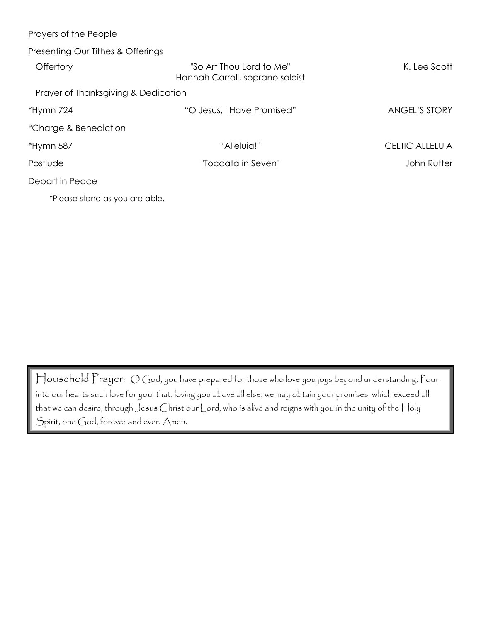| Prayers of the People               |                                                             |                        |
|-------------------------------------|-------------------------------------------------------------|------------------------|
| Presenting Our Tithes & Offerings   |                                                             |                        |
| Offertory                           | "So Art Thou Lord to Me"<br>Hannah Carroll, soprano soloist | K. Lee Scott           |
| Prayer of Thanksgiving & Dedication |                                                             |                        |
| *Hymn 724                           | "O Jesus, I Have Promised"                                  | <b>ANGEL'S STORY</b>   |
| *Charge & Benediction               |                                                             |                        |
| *Hymn 587                           | "Alleluia!"                                                 | <b>CELTIC ALLELUIA</b> |
| Postlude                            | "Toccata in Seven"                                          | John Rutter            |
| Depart in Peace                     |                                                             |                        |
| *Please stand as you are able.      |                                                             |                        |

Household Prayer: O God, you have prepared for those who love you joys beyond understanding. Pour into our hearts such love for you, that, loving you above all else, we may obtain your promises, which exceed all that we can desire; through Jesus Christ our Lord, who is alive and reigns with you in the unity of the Holy Spirit, one God, forever and ever. Amen.